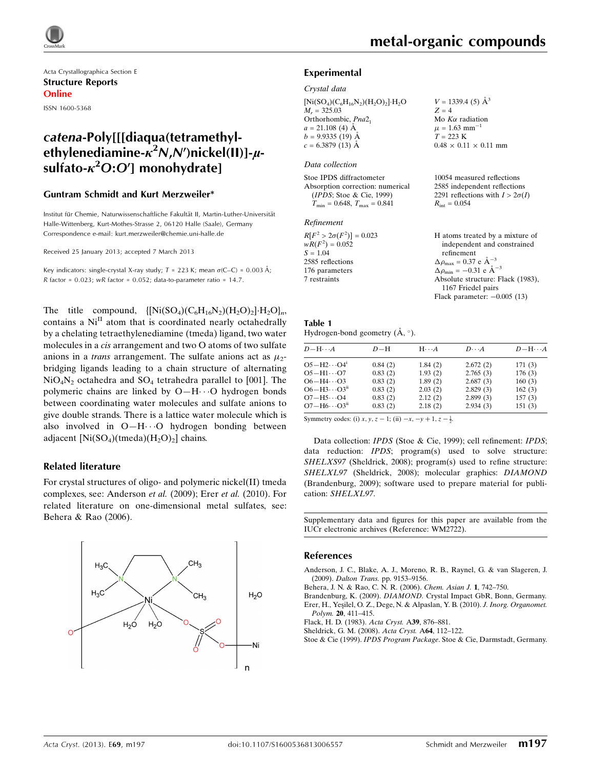

Acta Crystallographica Section E Structure Reports Online ISSN 1600-5368

## catena-Poly[[[diaqua(tetramethylethylenediamine- $\kappa^2$ N,N')nickel(II)]- $\mu$ sulfato- $\kappa^2 O O O^\prime$ ] monohydrate]

#### Guntram Schmidt and Kurt Merzweiler\*

Institut für Chemie, Naturwissenschaftliche Fakultät II, Martin-Luther-Universität Halle-Wittenberg, Kurt-Mothes-Strasse 2, 06120 Halle (Saale), Germany Correspondence e-mail: [kurt.merzweiler@chemie.uni-halle.de](https://scripts.iucr.org/cgi-bin/cr.cgi?rm=pdfbb&cnor=wm2722&bbid=BB7)

Received 25 January 2013; accepted 7 March 2013

Key indicators: single-crystal X-ray study;  $T = 223$  K; mean  $\sigma$ (C–C) = 0.003 Å;  $R$  factor = 0.023; wR factor = 0.052; data-to-parameter ratio = 14.7.

The title compound,  $\{[\text{Ni}(\text{SO}_4)(\text{C}_6\text{H}_{16}\text{N}_2)(\text{H}_2\text{O})_2]\cdot\text{H}_2\text{O}\}_n$ contains a Ni<sup>II</sup> atom that is coordinated nearly octahedrally by a chelating tetraethylenediamine (tmeda) ligand, two water molecules in a cis arrangement and two O atoms of two sulfate anions in a *trans* arrangement. The sulfate anions act as  $\mu_2$ bridging ligands leading to a chain structure of alternating  $NiO<sub>4</sub>N<sub>2</sub>$  octahedra and  $SO<sub>4</sub>$  tetrahedra parallel to [001]. The polymeric chains are linked by O-H $\cdots$ O hydrogen bonds between coordinating water molecules and sulfate anions to give double strands. There is a lattice water molecule which is also involved in O-H $\cdots$ O hydrogen bonding between adjacent  $[Ni(SO_4)(tmeda)(H_2O_2)]$  chains.

#### Related literature

For crystal structures of oligo- and polymeric nickel(II) tmeda complexes, see: Anderson et al. (2009); Erer et al. (2010). For related literature on one-dimensional metal sulfates, see: Behera & Rao (2006).



 $V = 1339.4$  (5)  $\AA^3$ 

Mo  $K\alpha$  radiation  $\mu = 1.63$  mm<sup>-1</sup>  $T = 223 \text{ K}$ 

 $R_{\text{int}} = 0.054$ 

 $0.48 \times 0.11 \times 0.11$  mm

10054 measured reflections 2585 independent reflections 2291 reflections with  $I > 2\sigma(I)$ 

 $Z = 4$ 

#### Experimental

#### Crystal data

 $[Ni(SO_4)(C_6H_{16}N_2)(H_2O)_2]\cdot H_2O$  $M_r = 325.03$ Orthorhombic, Pna2<sub>1</sub>  $a = 21.108$  (4)  $\AA$  $b = 9.9335(19)$  Å  $c = 6.3879(13)$  Å

#### Data collection

Stoe IPDS diffractometer Absorption correction: numerical (IPDS; Stoe & Cie, 1999)  $T_{\text{min}} = 0.648$ ,  $T_{\text{max}} = 0.841$ 

#### Refinement

| $R[F^2 > 2\sigma(F^2)] = 0.023$ | H atoms treated by a mixture of                    |
|---------------------------------|----------------------------------------------------|
| $wR(F^2) = 0.052$               | independent and constrained                        |
| $S = 1.04$                      | refinement                                         |
| 2585 reflections                | $\Delta \rho_{\text{max}} = 0.37 \text{ e A}^{-3}$ |
| 176 parameters                  | $\Delta \rho_{\text{min}} = -0.31$ e $\AA^{-3}$    |
| 7 restraints                    | Absolute structure: Flack (1983),                  |
|                                 | 1167 Friedel pairs                                 |
|                                 | Flack parameter: $-0.005(13)$                      |

| Table 1                                     |  |
|---------------------------------------------|--|
| Hydrogen-bond geometry $(\dot{A}, \circ)$ . |  |

| $D$ $\!-\mathrm{H}\cdots A$      | $D-H$   | $H \cdots A$ | $D\cdot\cdot\cdot A$ | $D - H \cdots A$ |
|----------------------------------|---------|--------------|----------------------|------------------|
| $O5 - H2 \cdots O4$ <sup>1</sup> | 0.84(2) | 1.84(2)      | 2.672(2)             | 171(3)           |
| $O5 - H1 \cdots O7$              | 0.83(2) | 1.93(2)      | 2.765(3)             | 176(3)           |
| $O6 - H4 \cdots O3$              | 0.83(2) | 1.89(2)      | 2.687(3)             | 160(3)           |
| $O6 - H3 \cdots O3^{n}$          | 0.83(2) | 2.03(2)      | 2.829(3)             | 162(3)           |
| $O7 - H5 \cdots O4$              | 0.83(2) | 2.12(2)      | 2.899(3)             | 157(3)           |
| $O7 - H6 \cdots O3n$             | 0.83(2) | 2.18(2)      | 2.934(3)             | 151(3)           |

Symmetry codes: (i)  $x, y, z - 1$ ; (ii)  $-x, -y + 1, z - \frac{1}{2}$ .

Data collection: IPDS (Stoe & Cie, 1999); cell refinement: IPDS; data reduction: *IPDS*; program(s) used to solve structure: SHELXS97 (Sheldrick, 2008); program(s) used to refine structure: SHELXL97 (Sheldrick, 2008); molecular graphics: DIAMOND (Brandenburg, 2009); software used to prepare material for publication: SHELXL97.

Supplementary data and figures for this paper are available from the IUCr electronic archives (Reference: WM2722).

#### References

[Anderson, J. C., Blake, A. J., Moreno, R. B., Raynel, G. & van Slageren, J.](https://scripts.iucr.org/cgi-bin/cr.cgi?rm=pdfbb&cnor=wm2722&bbid=BB1) (2009). Dalton Trans. [pp. 9153–9156.](https://scripts.iucr.org/cgi-bin/cr.cgi?rm=pdfbb&cnor=wm2722&bbid=BB1)

[Behera, J. N. & Rao, C. N. R. \(2006\).](https://scripts.iucr.org/cgi-bin/cr.cgi?rm=pdfbb&cnor=wm2722&bbid=BB2) Chem. Asian J. 1, 742–750.

Brandenburg, K. (2009). DIAMOND. [Crystal Impact GbR, Bonn, Germany.](https://scripts.iucr.org/cgi-bin/cr.cgi?rm=pdfbb&cnor=wm2722&bbid=BB3) Erer, H., Yeşilel, O. Z., Dege, N. & Alpaslan, Y. B. (2010). J. Inorg. Organomet.

Polym. 20[, 411–415.](https://scripts.iucr.org/cgi-bin/cr.cgi?rm=pdfbb&cnor=wm2722&bbid=BB4)

[Flack, H. D. \(1983\).](https://scripts.iucr.org/cgi-bin/cr.cgi?rm=pdfbb&cnor=wm2722&bbid=BB5) Acta Cryst. A39, 876–881.

[Sheldrick, G. M. \(2008\).](https://scripts.iucr.org/cgi-bin/cr.cgi?rm=pdfbb&cnor=wm2722&bbid=BB6) Acta Cryst. A64, 112–122.

Stoe & Cie (1999). IPDS Program Package[. Stoe & Cie, Darmstadt, Germany.](https://scripts.iucr.org/cgi-bin/cr.cgi?rm=pdfbb&cnor=wm2722&bbid=BB7)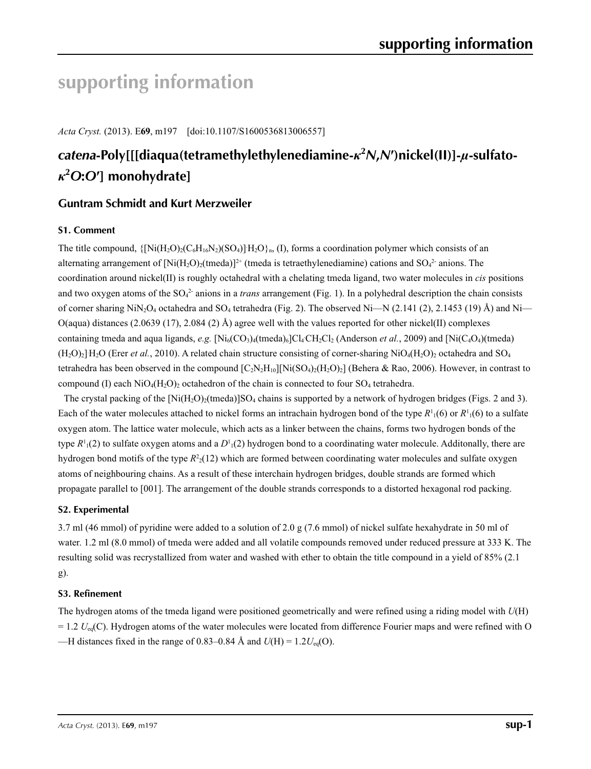# **supporting information**

*Acta Cryst.* (2013). E**69**, m197 [doi:10.1107/S1600536813006557]

## *catena***-Poly[[[diaqua(tetramethylethylenediamine-***κ***<sup>2</sup>** *N***,***N***′)nickel(II)]-***µ***-sulfato***κ***2** *O***:***O***′] monohydrate]**

## **Guntram Schmidt and Kurt Merzweiler**

## **S1. Comment**

The title compound,  $\{[Ni(H_2O)_2(C_6H_{16}N_2)(SO_4)]H_2O\}_n$ , (I), forms a coordination polymer which consists of an alternating arrangement of  $[Ni(H_2O)_2$  (tmeda)<sup> $]$ +</sup> (tmeda is tetraethylenediamine) cations and SO<sub>4</sub><sup>2</sup> anions. The coordination around nickel(II) is roughly octahedral with a chelating tmeda ligand, two water molecules in *cis* positions and two oxygen atoms of the  $SO<sub>4</sub><sup>2</sup>$  anions in a *trans* arrangement (Fig. 1). In a polyhedral description the chain consists of corner sharing  $NiN<sub>2</sub>O<sub>4</sub>$  octahedra and SO<sub>4</sub> tetrahedra (Fig. 2). The observed Ni—N (2.141 (2), 2.1453 (19) Å) and Ni— O(aqua) distances (2.0639 (17), 2.084 (2) Å) agree well with the values reported for other nickel(II) complexes containing tmeda and aqua ligands, *e.g.*  $[Ni_6(CO_3)_4(\text{tmeda})_6]Cl_4CH_2Cl_2$  (Anderson *et al.*, 2009) and  $[Ni(C_4O_4)(\text{tmeda})]$  $(H<sub>2</sub>O)<sub>2</sub>]$  H<sub>2</sub>O (Erer *et al.*, 2010). A related chain structure consisting of corner-sharing NiO<sub>4</sub>(H<sub>2</sub>O)<sub>2</sub> octahedra and SO<sub>4</sub> tetrahedra has been observed in the compound  $[C_2N_2H_{10}][Ni(SO_4)_2(H_2O)_2]$  (Behera & Rao, 2006). However, in contrast to compound (I) each  $NiO_4(H_2O)$  octahedron of the chain is connected to four SO<sub>4</sub> tetrahedra.

The crystal packing of the  $\text{[Ni(H<sub>2</sub>O)<sub>2</sub>(tmeda)]SO<sub>4</sub> chains is supported by a network of hydrogen bridges (Figs. 2 and 3).$ Each of the water molecules attached to nickel forms an intrachain hydrogen bond of the type  $R^1(6)$  or  $R^1(6)$  to a sulfate oxygen atom. The lattice water molecule, which acts as a linker between the chains, forms two hydrogen bonds of the type  $R^1_1(2)$  to sulfate oxygen atoms and a  $D^1_1(2)$  hydrogen bond to a coordinating water molecule. Additonally, there are hydrogen bond motifs of the type *R*<sup>2</sup> 2(12) which are formed between coordinating water molecules and sulfate oxygen atoms of neighbouring chains. As a result of these interchain hydrogen bridges, double strands are formed which propagate parallel to [001]. The arrangement of the double strands corresponds to a distorted hexagonal rod packing.

### **S2. Experimental**

3.7 ml (46 mmol) of pyridine were added to a solution of 2.0 g (7.6 mmol) of nickel sulfate hexahydrate in 50 ml of water. 1.2 ml (8.0 mmol) of tmeda were added and all volatile compounds removed under reduced pressure at 333 K. The resulting solid was recrystallized from water and washed with ether to obtain the title compound in a yield of 85% (2.1 g).

### **S3. Refinement**

The hydrogen atoms of the tmeda ligand were positioned geometrically and were refined using a riding model with *U*(H)  $= 1.2$   $U_{eq}(C)$ . Hydrogen atoms of the water molecules were located from difference Fourier maps and were refined with O —H distances fixed in the range of 0.83–0.84 Å and  $U(H) = 1.2U_{eq}(O)$ .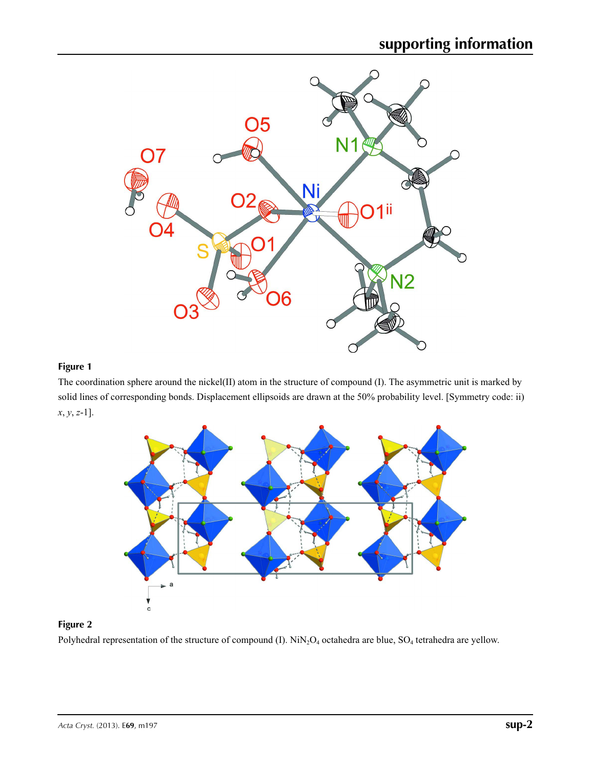

## **Figure 1**

The coordination sphere around the nickel(II) atom in the structure of compound (I). The asymmetric unit is marked by solid lines of corresponding bonds. Displacement ellipsoids are drawn at the 50% probability level. [Symmetry code: ii) *x*, *y*, *z*-1].



## **Figure 2**

Polyhedral representation of the structure of compound (I). NiN<sub>2</sub>O<sub>4</sub> octahedra are blue, SO<sub>4</sub> tetrahedra are yellow.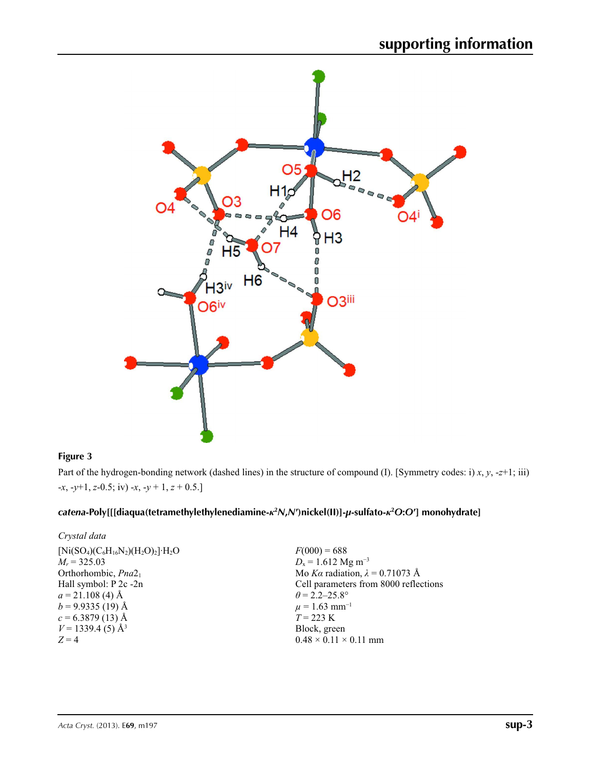

### **Figure 3**

Part of the hydrogen-bonding network (dashed lines) in the structure of compound (I). [Symmetry codes: i) *x*, *y*, -*z*+1; iii) -*x*, -*y*+1, *z*-0.5; iv) -*x*, -*y* + 1, *z* + 0.5.]

## catena-Poly[[[diaqua(tetramethylethylenediamine-k<sup>2</sup>N,N')nickel(II)]-µ-sulfato-k<sup>2</sup>O:O'] monohydrate]

| Crystal data |  |
|--------------|--|
|--------------|--|

| $[Ni(SO4)(C6H16N2)(H2O)2]\cdot H2O$ | $F(000) = 688$                         |
|-------------------------------------|----------------------------------------|
| $M_r = 325.03$                      | $D_x = 1.612$ Mg m <sup>-3</sup>       |
| Orthorhombic, Pna2 <sub>1</sub>     | Mo Ka radiation, $\lambda = 0.71073$ Å |
| Hall symbol: P 2c -2n               | Cell parameters from 8000 reflections  |
| $a = 21.108$ (4) Å                  | $\theta$ = 2.2–25.8°                   |
| $b = 9.9335(19)$ Å                  | $\mu$ = 1.63 mm <sup>-1</sup>          |
| $c = 6.3879(13)$ Å                  | $T = 223 \text{ K}$                    |
| $V = 1339.4$ (5) Å <sup>3</sup>     | Block, green                           |
| $Z=4$                               | $0.48 \times 0.11 \times 0.11$ mm      |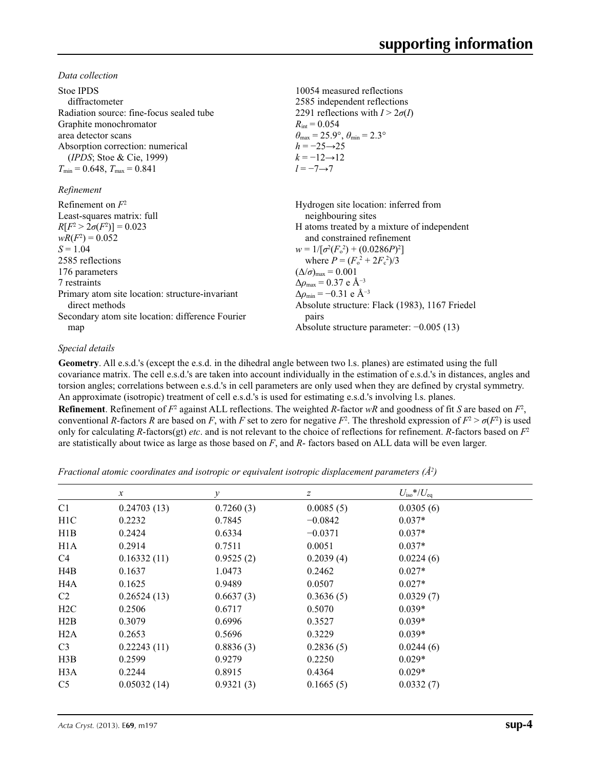*Data collection*

| Stoe IPDS                                        | 10054 measured reflections                                              |
|--------------------------------------------------|-------------------------------------------------------------------------|
| diffractometer                                   | 2585 independent reflections                                            |
| Radiation source: fine-focus sealed tube         | 2291 reflections with $I > 2\sigma(I)$                                  |
| Graphite monochromator                           | $R_{\text{int}} = 0.054$                                                |
| area detector scans                              | $\theta_{\text{max}} = 25.9^{\circ}, \theta_{\text{min}} = 2.3^{\circ}$ |
| Absorption correction: numerical                 | $h = -25 \rightarrow 25$                                                |
| (IPDS; Stoe & Cie, 1999)                         | $k = -12 \rightarrow 12$                                                |
| $T_{\min}$ = 0.648, $T_{\max}$ = 0.841           | $l = -7 \rightarrow 7$                                                  |
| Refinement                                       |                                                                         |
| Refinement on $F^2$                              | Hydrogen site location: inferred from                                   |
| Least-squares matrix: full                       | neighbouring sites                                                      |
| $R[F^2 > 2\sigma(F^2)] = 0.023$                  | H atoms treated by a mixture of independent                             |
| $wR(F^2) = 0.052$                                | and constrained refinement                                              |
| $S = 1.04$                                       | $w = 1/[\sigma^2(F_0^2) + (0.0286P)^2]$                                 |
| 2585 reflections                                 | where $P = (F_0^2 + 2F_c^2)/3$                                          |
| 176 parameters                                   | $(\Delta/\sigma)_{\text{max}} = 0.001$                                  |
| 7 restraints                                     | $\Delta\rho_{\text{max}} = 0.37$ e Å <sup>-3</sup>                      |
| Primary atom site location: structure-invariant  | $\Delta \rho_{\rm min} = -0.31$ e Å <sup>-3</sup>                       |
| direct methods                                   | Absolute structure: Flack (1983), 1167 Friedel                          |
| Secondary atom site location: difference Fourier | pairs                                                                   |
| map                                              | Absolute structure parameter: $-0.005(13)$                              |

#### *Special details*

**Geometry**. All e.s.d.'s (except the e.s.d. in the dihedral angle between two l.s. planes) are estimated using the full covariance matrix. The cell e.s.d.'s are taken into account individually in the estimation of e.s.d.'s in distances, angles and torsion angles; correlations between e.s.d.'s in cell parameters are only used when they are defined by crystal symmetry. An approximate (isotropic) treatment of cell e.s.d.'s is used for estimating e.s.d.'s involving l.s. planes.

**Refinement**. Refinement of  $F^2$  against ALL reflections. The weighted *R*-factor  $wR$  and goodness of fit *S* are based on  $F^2$ , conventional *R*-factors *R* are based on *F*, with *F* set to zero for negative  $F^2$ . The threshold expression of  $F^2 > \sigma(F^2)$  is used only for calculating *R*-factors(gt) *etc*. and is not relevant to the choice of reflections for refinement. *R*-factors based on *F*<sup>2</sup> are statistically about twice as large as those based on *F*, and *R*- factors based on ALL data will be even larger.

*Fractional atomic coordinates and isotropic or equivalent isotropic displacement parameters (Å<sup>2</sup>)* 

|                  | $\boldsymbol{x}$ | $\mathcal{Y}$ | Ζ         | $U_{\rm iso}$ */ $U_{\rm eq}$ |  |
|------------------|------------------|---------------|-----------|-------------------------------|--|
| C <sub>1</sub>   | 0.24703(13)      | 0.7260(3)     | 0.0085(5) | 0.0305(6)                     |  |
| H1C              | 0.2232           | 0.7845        | $-0.0842$ | $0.037*$                      |  |
| H1B              | 0.2424           | 0.6334        | $-0.0371$ | $0.037*$                      |  |
| H <sub>1</sub> A | 0.2914           | 0.7511        | 0.0051    | $0.037*$                      |  |
| C4               | 0.16332(11)      | 0.9525(2)     | 0.2039(4) | 0.0224(6)                     |  |
| H4B              | 0.1637           | 1.0473        | 0.2462    | $0.027*$                      |  |
| H4A              | 0.1625           | 0.9489        | 0.0507    | $0.027*$                      |  |
| C2               | 0.26524(13)      | 0.6637(3)     | 0.3636(5) | 0.0329(7)                     |  |
| H <sub>2</sub> C | 0.2506           | 0.6717        | 0.5070    | $0.039*$                      |  |
| H2B              | 0.3079           | 0.6996        | 0.3527    | $0.039*$                      |  |
| H2A              | 0.2653           | 0.5696        | 0.3229    | $0.039*$                      |  |
| C <sub>3</sub>   | 0.22243(11)      | 0.8836(3)     | 0.2836(5) | 0.0244(6)                     |  |
| H3B              | 0.2599           | 0.9279        | 0.2250    | $0.029*$                      |  |
| H <sub>3</sub> A | 0.2244           | 0.8915        | 0.4364    | $0.029*$                      |  |
| C <sub>5</sub>   | 0.05032(14)      | 0.9321(3)     | 0.1665(5) | 0.0332(7)                     |  |
|                  |                  |               |           |                               |  |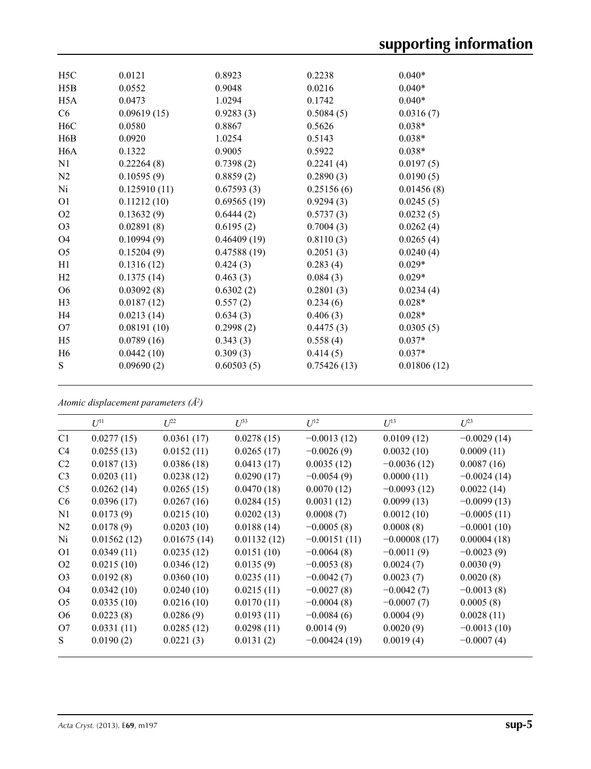| H <sub>5</sub> C | 0.0121       | 0.8923      | 0.2238      | $0.040*$    |
|------------------|--------------|-------------|-------------|-------------|
| H5B              | 0.0552       | 0.9048      | 0.0216      | $0.040*$    |
| H <sub>5</sub> A | 0.0473       | 1.0294      | 0.1742      | $0.040*$    |
| C6               | 0.09619(15)  | 0.9283(3)   | 0.5084(5)   | 0.0316(7)   |
| H <sub>6</sub> C | 0.0580       | 0.8867      | 0.5626      | $0.038*$    |
| H6B              | 0.0920       | 1.0254      | 0.5143      | $0.038*$    |
| H <sub>6</sub> A | 0.1322       | 0.9005      | 0.5922      | $0.038*$    |
| N1               | 0.22264(8)   | 0.7398(2)   | 0.2241(4)   | 0.0197(5)   |
| N2               | 0.10595(9)   | 0.8859(2)   | 0.2890(3)   | 0.0190(5)   |
| Ni               | 0.125910(11) | 0.67593(3)  | 0.25156(6)  | 0.01456(8)  |
| O <sub>1</sub>   | 0.11212(10)  | 0.69565(19) | 0.9294(3)   | 0.0245(5)   |
| O2               | 0.13632(9)   | 0.6444(2)   | 0.5737(3)   | 0.0232(5)   |
| O <sub>3</sub>   | 0.02891(8)   | 0.6195(2)   | 0.7004(3)   | 0.0262(4)   |
| O4               | 0.10994(9)   | 0.46409(19) | 0.8110(3)   | 0.0265(4)   |
| O <sub>5</sub>   | 0.15204(9)   | 0.47588(19) | 0.2051(3)   | 0.0240(4)   |
| H1               | 0.1316(12)   | 0.424(3)    | 0.283(4)    | $0.029*$    |
| H2               | 0.1375(14)   | 0.463(3)    | 0.084(3)    | $0.029*$    |
| O <sub>6</sub>   | 0.03092(8)   | 0.6302(2)   | 0.2801(3)   | 0.0234(4)   |
| H <sub>3</sub>   | 0.0187(12)   | 0.557(2)    | 0.234(6)    | $0.028*$    |
| H <sub>4</sub>   | 0.0213(14)   | 0.634(3)    | 0.406(3)    | $0.028*$    |
| O <sub>7</sub>   | 0.08191(10)  | 0.2998(2)   | 0.4475(3)   | 0.0305(5)   |
| H <sub>5</sub>   | 0.0789(16)   | 0.343(3)    | 0.558(4)    | $0.037*$    |
| H <sub>6</sub>   | 0.0442(10)   | 0.309(3)    | 0.414(5)    | $0.037*$    |
| S                | 0.09690(2)   | 0.60503(5)  | 0.75426(13) | 0.01806(12) |
|                  |              |             |             |             |

*Atomic displacement parameters (Å2 )*

|                | $U^{11}$    | I/22        | $U^{33}$    | $U^{12}$       | $U^{13}$       | $U^{23}$      |
|----------------|-------------|-------------|-------------|----------------|----------------|---------------|
| C <sub>1</sub> | 0.0277(15)  | 0.0361(17)  | 0.0278(15)  | $-0.0013(12)$  | 0.0109(12)     | $-0.0029(14)$ |
| C4             | 0.0255(13)  | 0.0152(11)  | 0.0265(17)  | $-0.0026(9)$   | 0.0032(10)     | 0.0009(11)    |
| C2             | 0.0187(13)  | 0.0386(18)  | 0.0413(17)  | 0.0035(12)     | $-0.0036(12)$  | 0.0087(16)    |
| C <sub>3</sub> | 0.0203(11)  | 0.0238(12)  | 0.0290(17)  | $-0.0054(9)$   | 0.0000(11)     | $-0.0024(14)$ |
| C <sub>5</sub> | 0.0262(14)  | 0.0265(15)  | 0.0470(18)  | 0.0070(12)     | $-0.0093(12)$  | 0.0022(14)    |
| C <sub>6</sub> | 0.0396(17)  | 0.0267(16)  | 0.0284(15)  | 0.0031(12)     | 0.0099(13)     | $-0.0099(13)$ |
| N1             | 0.0173(9)   | 0.0215(10)  | 0.0202(13)  | 0.0008(7)      | 0.0012(10)     | $-0.0005(11)$ |
| N <sub>2</sub> | 0.0178(9)   | 0.0203(10)  | 0.0188(14)  | $-0.0005(8)$   | 0.0008(8)      | $-0.0001(10)$ |
| Ni             | 0.01562(12) | 0.01675(14) | 0.01132(12) | $-0.00151(11)$ | $-0.00008(17)$ | 0.00004(18)   |
| O <sub>1</sub> | 0.0349(11)  | 0.0235(12)  | 0.0151(10)  | $-0.0064(8)$   | $-0.0011(9)$   | $-0.0023(9)$  |
| O <sub>2</sub> | 0.0215(10)  | 0.0346(12)  | 0.0135(9)   | $-0.0053(8)$   | 0.0024(7)      | 0.0030(9)     |
| O <sub>3</sub> | 0.0192(8)   | 0.0360(10)  | 0.0235(11)  | $-0.0042(7)$   | 0.0023(7)      | 0.0020(8)     |
| O4             | 0.0342(10)  | 0.0240(10)  | 0.0215(11)  | $-0.0027(8)$   | $-0.0042(7)$   | $-0.0013(8)$  |
| O <sub>5</sub> | 0.0335(10)  | 0.0216(10)  | 0.0170(11)  | $-0.0004(8)$   | $-0.0007(7)$   | 0.0005(8)     |
| O <sub>6</sub> | 0.0223(8)   | 0.0286(9)   | 0.0193(11)  | $-0.0084(6)$   | 0.0004(9)      | 0.0028(11)    |
| O7             | 0.0331(11)  | 0.0285(12)  | 0.0298(11)  | 0.0014(9)      | 0.0020(9)      | $-0.0013(10)$ |
| S              | 0.0190(2)   | 0.0221(3)   | 0.0131(2)   | $-0.00424(19)$ | 0.0019(4)      | $-0.0007(4)$  |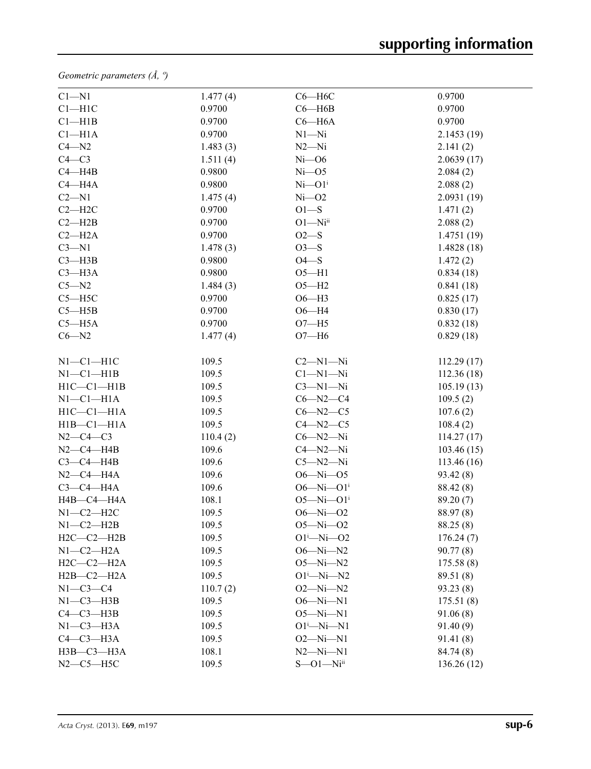*Geometric parameters (Å, º)*

| $C1 - N1$        | 1.477(4) | $C6 - H6C$                  | 0.9700     |
|------------------|----------|-----------------------------|------------|
| $C1 - H1C$       | 0.9700   | $C6 - H6B$                  | 0.9700     |
| $Cl$ -H1B        | 0.9700   | $C6 - H6A$                  | 0.9700     |
| $Cl-H1A$         | 0.9700   | $N1 - N1$                   | 2.1453(19) |
| $C4 - N2$        | 1.483(3) | $N2 - Ni$                   | 2.141(2)   |
| $C4-C3$          | 1.511(4) | $Ni-06$                     | 2.0639(17) |
| $C4 - H4B$       | 0.9800   | $Ni$ -O5                    | 2.084(2)   |
| $C4 - H4A$       | 0.9800   | $Ni$ - $O1$ <sup>i</sup>    | 2.088(2)   |
| $C2 - N1$        | 1.475(4) | $Ni-O2$                     | 2.0931(19) |
| $C2 - H2C$       | 0.9700   | $O1-S$                      | 1.471(2)   |
| $C2 - H2B$       | 0.9700   | $O1 - Ni$ <sup>ii</sup>     | 2.088(2)   |
| $C2 - H2A$       | 0.9700   | $O2-S$                      | 1.4751(19) |
| $C3 - N1$        | 1.478(3) | $O3-S$                      | 1.4828(18) |
| $C3 - H3B$       | 0.9800   | $O4-S$                      | 1.472(2)   |
| $C3 - H3A$       | 0.9800   | $O5 - H1$                   | 0.834(18)  |
| $C5 - N2$        | 1.484(3) | $O5 - H2$                   | 0.841(18)  |
| $C5 - H5C$       | 0.9700   | $O6-H3$                     | 0.825(17)  |
| $C5 - H5B$       | 0.9700   | $O6 - H4$                   | 0.830(17)  |
| $C5 - H5A$       | 0.9700   | $O7 - H5$                   | 0.832(18)  |
| $C6 - N2$        | 1.477(4) | $O7 - H6$                   | 0.829(18)  |
|                  |          |                             |            |
| $N1-C1-H1C$      | 109.5    | $C2-M1-Ni$                  | 112.29(17) |
| $N1-C1-H1B$      | 109.5    | $Cl-M1-Ni$                  | 112.36(18) |
| $H1C - C1 - H1B$ | 109.5    | $C3-M1-Ni$                  | 105.19(13) |
| $N1-C1-H1A$      | 109.5    | $C6 - N2 - C4$              | 109.5(2)   |
| $H1C - C1 - H1A$ | 109.5    | $C6 - N2 - C5$              | 107.6(2)   |
| $H1B - C1 - H1A$ | 109.5    | $C4 - N2 - C5$              | 108.4(2)   |
| $N2 - C4 - C3$   | 110.4(2) | $C6 - N2 - Ni$              | 114.27(17) |
| $N2-C4-H4B$      | 109.6    | $C4 - N2 - Ni$              | 103.46(15) |
| $C3-C4-H4B$      | 109.6    | $C5 - N2 - Ni$              | 113.46(16) |
| $N2-C4-H4A$      | 109.6    | $O6 - Ni - O5$              | 93.42(8)   |
| $C3-C4-H4A$      | 109.6    | $O6 - Ni - O1$ <sup>i</sup> | 88.42 (8)  |
| H4B-C4-H4A       | 108.1    | $O5 - Ni - O1$ <sup>i</sup> | 89.20(7)   |
| $N1-C2-H2C$      | 109.5    | $O6 - Ni - O2$              | 88.97 (8)  |
| $N1-C2-H2B$      | 109.5    | $O5 - Ni - O2$              | 88.25 (8)  |
| $H2C-C2-H2B$     | 109.5    | $O1^{i}$ -Ni- $O2$          | 176.24(7)  |
| $N1-C2-H2A$      | 109.5    | $O6 - Ni - N2$              | 90.77(8)   |
| $H2C-C2-H2A$     | 109.5    | $O5 - Ni - N2$              | 175.58(8)  |
| $H2B-C2-H2A$     | 109.5    | $O1^i$ -Ni-N2               | 89.51 (8)  |
| $N1-C3-C4$       | 110.7(2) | $O2 - Ni - N2$              | 93.23 (8)  |
| $N1-C3-H3B$      | 109.5    | $O6 - Ni - N1$              | 175.51(8)  |
| $C4-C3-H3B$      | 109.5    | $O5 - Ni - N1$              | 91.06(8)   |
| $N1-C3-H3A$      | 109.5    | $O1^i$ -Ni-N1               | 91.40(9)   |
| $C4-C3-H3A$      | 109.5    | $O2 - Ni - N1$              | 91.41(8)   |
| НЗВ-СЗ-НЗА       | 108.1    | $N2 - N1 - N1$              | 84.74 (8)  |
| $N2-C5-H5C$      | 109.5    | $S - 01 - Ni$               | 136.26(12) |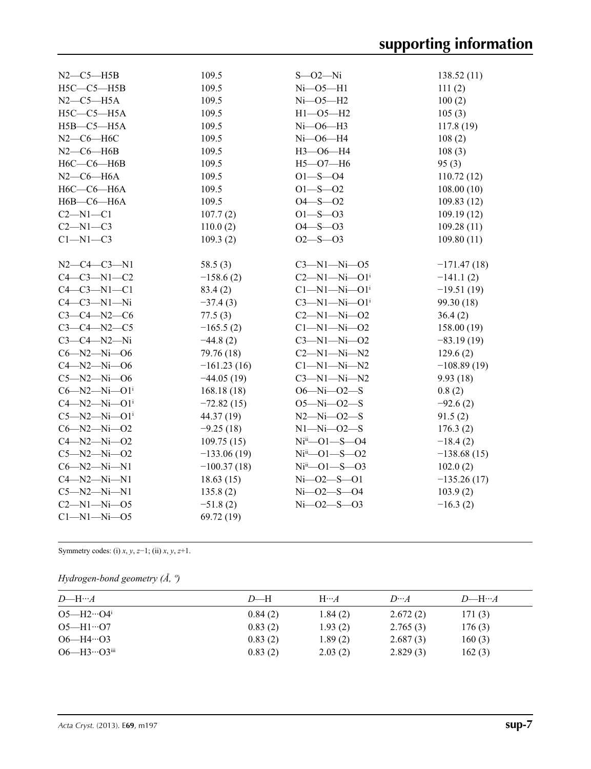| $N2$ – $C5$ – $H5B$              | 109.5         | $S - 02 - Ni$                    | 138.52(11)    |
|----------------------------------|---------------|----------------------------------|---------------|
| $H5C-C5-H5B$                     | 109.5         | $Ni$ -O5-H1                      | 111(2)        |
| $N2-C5-H5A$                      | 109.5         | $Ni-O5-H2$                       | 100(2)        |
| $H5C-C5-H5A$                     | 109.5         | $H1 - 05 - H2$                   | 105(3)        |
| $H5B - C5 - H5A$                 | 109.5         | $Ni$ -O6-H3                      | 117.8(19)     |
| $N2-C6-H6C$                      | 109.5         | $Ni$ -06-H4                      | 108(2)        |
| $N2-C6-H6B$                      | 109.5         | $H3 - 06 - H4$                   | 108(3)        |
| $H6C-C6-H6B$                     | 109.5         | $H5 - O7 - H6$                   | 95(3)         |
| $N2$ – $C6$ – $H6A$              | 109.5         | $O1 - S - O4$                    | 110.72(12)    |
| $H6C-C6-H6A$                     | 109.5         | $O1 - S - O2$                    | 108.00(10)    |
| $H6B-C6-H6A$                     | 109.5         | $O4 - S - O2$                    | 109.83(12)    |
| $C2-M1-C1$                       | 107.7(2)      | $O1 - S - O3$                    | 109.19(12)    |
| $C2 - N1 - C3$                   | 110.0(2)      | $O4 - S - O3$                    | 109.28(11)    |
| $C1-M1-C3$                       | 109.3(2)      | $O2 - S - O3$                    | 109.80(11)    |
|                                  |               |                                  |               |
| $N2 - C4 - C3 - N1$              | 58.5(3)       | $C3 - N1 - Ni - O5$              | $-171.47(18)$ |
| $C4-C3-N1-C2$                    | $-158.6(2)$   | $C2 - N1 - Ni - O1$ <sup>i</sup> | $-141.1(2)$   |
| $C4 - C3 - N1 - C1$              | 83.4(2)       | $Cl-M1-Ni-O1$ <sup>i</sup>       | $-19.51(19)$  |
| $C4-C3-N1-Ni$                    | $-37.4(3)$    | $C3 - N1 - Ni - O1$ <sup>i</sup> | 99.30 (18)    |
| $C3 - C4 - N2 - C6$              | 77.5(3)       | $C2 - N1 - Ni - O2$              | 36.4(2)       |
| $C3 - C4 - N2 - C5$              | $-165.5(2)$   | $Cl - N1 - Ni - O2$              | 158.00(19)    |
| $C3-C4-M2-Ni$                    | $-44.8(2)$    | $C3 - N1 - Ni - O2$              | $-83.19(19)$  |
| $C6 - N2 - Ni - O6$              | 79.76 (18)    | $C2-M1-Ni-N2$                    | 129.6(2)      |
| $C4 - N2 - Ni - O6$              | $-161.23(16)$ | $C1 - N1 - Ni - N2$              | $-108.89(19)$ |
| $C5 - N2 - Ni - 06$              | $-44.05(19)$  | $C3-M1-Ni-N2$                    | 9.93(18)      |
| $C6 - N2 - Ni - O1$ <sup>i</sup> | 168.18 (18)   | $O6 - Ni - O2 - S$               | 0.8(2)        |
| $C4 - N2 - Ni - O1$ <sup>i</sup> | $-72.82(15)$  | $O5 - Ni - O2 - S$               | $-92.6(2)$    |
| $C5 - N2 - Ni - O1$ <sup>i</sup> | 44.37 (19)    | $N2 - Ni - O2 - S$               | 91.5(2)       |
| $C6 - N2 - Ni - O2$              | $-9.25(18)$   | $N1 - N1 - 02 - S$               | 176.3(2)      |
| $C4 - N2 - Ni - O2$              | 109.75(15)    | $Niii$ -01--S-04                 | $-18.4(2)$    |
| $C5 - N2 - Ni - O2$              | $-133.06(19)$ | $Niii - O1 - S - O2$             | $-138.68(15)$ |
| $C6 - N2 - Ni - N1$              | $-100.37(18)$ | $Niii$ -O1 -S -O3                | 102.0(2)      |
| $C4 - N2 - N1 - N1$              | 18.63(15)     | $Ni - O2 - S - O1$               | $-135.26(17)$ |
| $C5 - N2 - N1 - N1$              | 135.8(2)      | $Ni - O2 - S - O4$               | 103.9(2)      |
| $C2 - N1 - Ni - O5$              | $-51.8(2)$    | $Ni - O2 - S - O3$               | $-16.3(2)$    |
| $Cl - N1 - Ni - O5$              | 69.72 (19)    |                                  |               |
|                                  |               |                                  |               |

Symmetry codes: (i) *x*, *y*, *z*−1; (ii) *x*, *y*, *z*+1.

*Hydrogen-bond geometry (Å, º)*

| $D$ —H… $A$                       | $D$ —H  | $H\cdots A$ | $D \cdots A$ | $D$ —H… $A$ |
|-----------------------------------|---------|-------------|--------------|-------------|
| $O5 - H2 \cdot O4$ <sup>i</sup>   | 0.84(2) | 1.84(2)     | 2.672(2)     | 171(3)      |
| $O5 - H1 \cdot O7$                | 0.83(2) | 1.93(2)     | 2.765(3)     | 176(3)      |
| $O6 - H4 \cdot O3$                | 0.83(2) | 1.89(2)     | 2.687(3)     | 160(3)      |
| $O6 - H3 \cdot O3$ <sup>iii</sup> | 0.83(2) | 2.03(2)     | 2.829(3)     | 162(3)      |